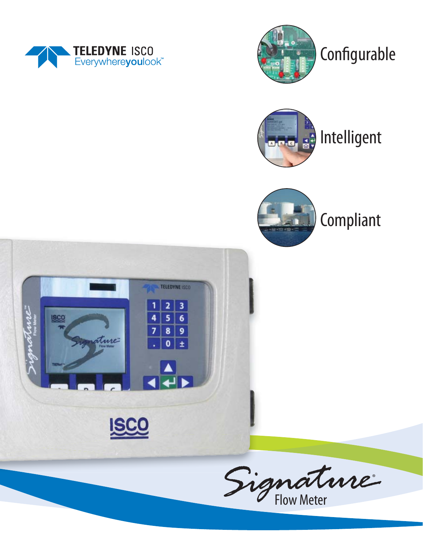



Configurable







Signature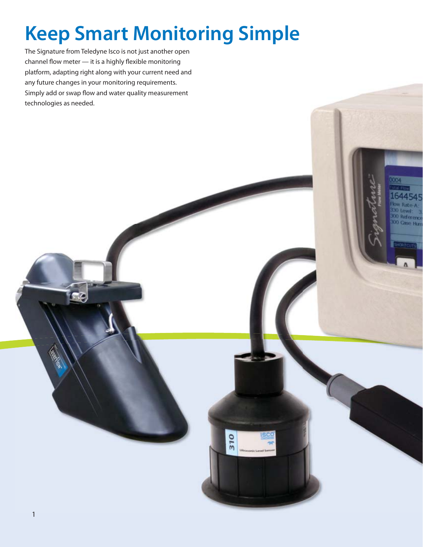# **Keep Smart Monitoring Simple**

310

dero

The Signature from Teledyne Isco is not just another open channel flow meter - it is a highly flexible monitoring platform, adapting right along with your current need and any future changes in your monitoring requirements. Simply add or swap flow and water quality measurement technologies as needed.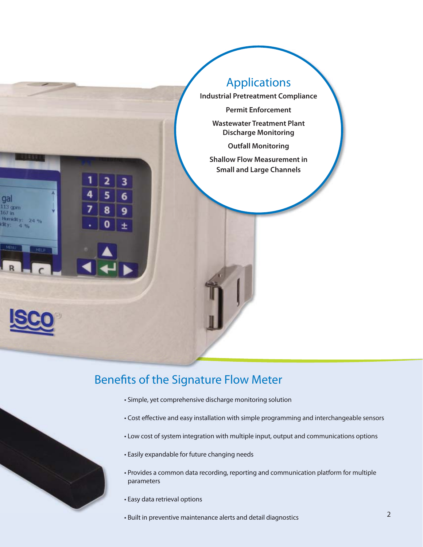## **Applications Industrial Pretreatment Compliance Permit Enforcement Wastewater Treatment Plant Discharge Monitoring Outfall Monitoring Shallow Flow Measurement in Small and Large Channels** 2 з 5 6 8 9 0

<u>ga</u>

 $167$  in midt.

### **Benefits of the Signature Flow Meter**

- Simple, yet comprehensive discharge monitoring solution
- Cost effective and easy installation with simple programming and interchangeable sensors
- Low cost of system integration with multiple input, output and communications options
- Easily expandable for future changing needs
- Provides a common data recording, reporting and communication platform for multiple parameters
- Easy data retrieval options
- Built in preventive maintenance alerts and detail diagnostics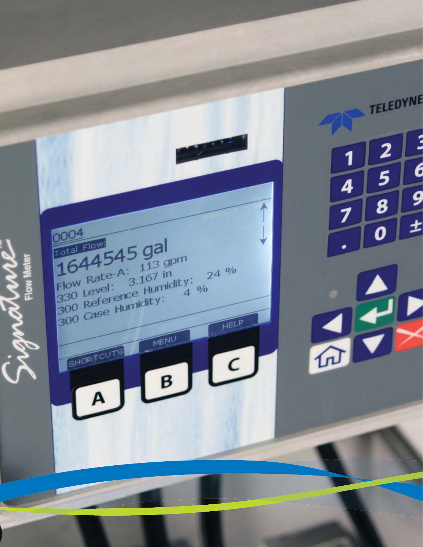TELEDYNE  $\ddot{\phantom{0}}$  $\sim$ 1  $\epsilon$ 5 9 8 ± 0004 Total Flow: 1644545 gal MWE<br>Flow Meser Flow Rate-A: 113 gpm Tiow Rate A: 3.167 in<br>330 Level: 3.167 in<br>300 Reference Humidity: 4 %<br>300 Case Humidity:  $24\frac{0}{0}$ HELP MENU SHORTCUT  $\overline{B}$  $\boldsymbol{A}$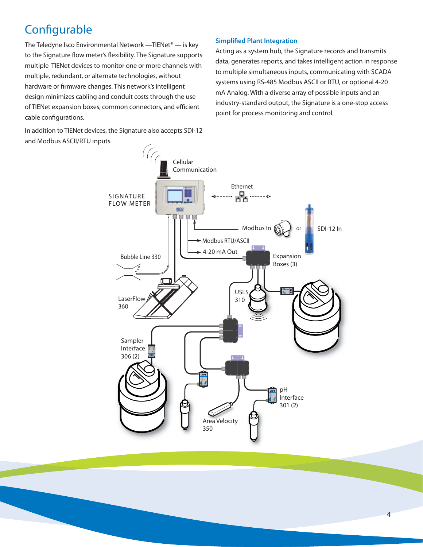### Configurable

The Teledyne Isco Environmental Network -TIENet<sup>®</sup> - is key to the Signature flow meter's flexibility. The Signature supports multiple TIENet devices to monitor one or more channels with multiple, redundant, or alternate technologies, without hardware or firmware changes. This network's intelligent design minimizes cabling and conduit costs through the use of TIENet expansion boxes, common connectors, and efficient cable configurations.

In addition to TIENet devices, the Signature also accepts SDI-12 and Modbus ASCII/RTU inputs.

#### **Simplified Plant Integration**

Acting as a system hub, the Signature records and transmits data, generates reports, and takes intelligent action in response to multiple simultaneous inputs, communicating with SCADA systems using RS-485 Modbus ASCII or RTU, or optional 4-20 mA Analog. With a diverse array of possible inputs and an industry-standard output, the Signature is a one-stop access point for process monitoring and control.

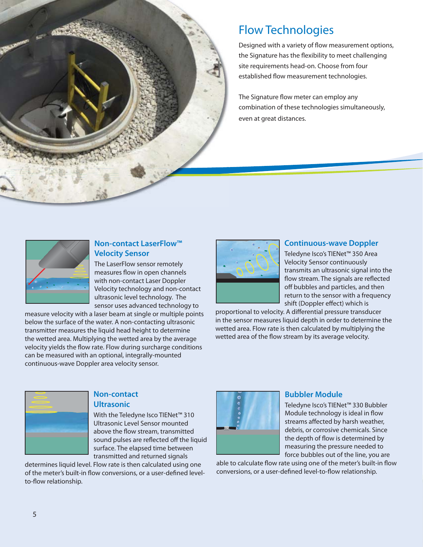

### **Flow Technologies**

Designed with a variety of flow measurement options, the Signature has the flexibility to meet challenging site requirements head-on. Choose from four established flow measurement technologies.

The Signature flow meter can employ any combination of these technologies simultaneously, even at great distances.



### Non-contact LaserFlow™ **Velocity Sensor**

The LaserFlow sensor remotely measures flow in open channels with non-contact Laser Doppler Velocity technology and non-contact ultrasonic level technology. The sensor uses advanced technology to

measure velocity with a laser beam at single or multiple points below the surface of the water. A non-contacting ultrasonic transmitter measures the liquid head height to determine the wetted area. Multiplying the wetted area by the average velocity yields the flow rate. Flow during surcharge conditions can be measured with an optional, integrally-mounted continuous-wave Doppler area velocity sensor.



#### **Continuous-wave Doppler**

Teledyne Isco's TIENet™ 350 Area **Velocity Sensor continuously** transmits an ultrasonic signal into the flow stream. The signals are reflected off bubbles and particles, and then return to the sensor with a frequency shift (Doppler effect) which is

proportional to velocity. A differential pressure transducer in the sensor measures liquid depth in order to determine the wetted area. Flow rate is then calculated by multiplying the wetted area of the flow stream by its average velocity.



### **Non-contact Ultrasonic**

With the Teledyne Isco TIENet™ 310 Ultrasonic Level Sensor mounted above the flow stream, transmitted sound pulses are reflected off the liquid surface. The elapsed time between transmitted and returned signals

determines liquid level. Flow rate is then calculated using one of the meter's built-in flow conversions, or a user-defined levelto-flow relationship.



#### **Bubbler Module**

Teledyne Isco's TIENet™ 330 Bubbler Module technology is ideal in flow streams affected by harsh weather, debris, or corrosive chemicals. Since the depth of flow is determined by measuring the pressure needed to force bubbles out of the line, you are

able to calculate flow rate using one of the meter's built-in flow conversions, or a user-defined level-to-flow relationship.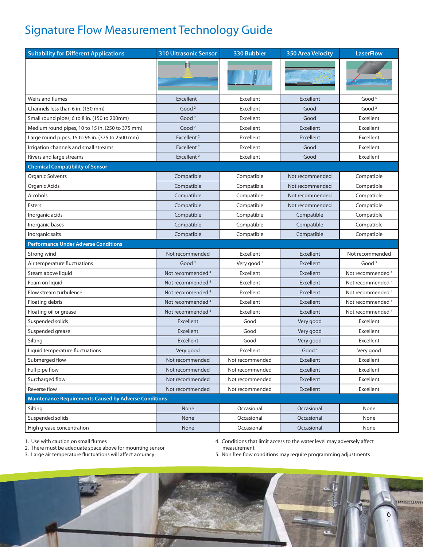### **Signature Flow Measurement Technology Guide**

| <b>Suitability for Different Applications</b>                | <b>310 Ultrasonic Sensor</b> | 330 Bubbler            | <b>350 Area Velocity</b> | <b>LaserFlow</b>             |
|--------------------------------------------------------------|------------------------------|------------------------|--------------------------|------------------------------|
|                                                              | Å                            |                        |                          |                              |
| Weirs and flumes                                             | Excellent <sup>1</sup>       | Excellent              | <b>Excellent</b>         | Good <sup>5</sup>            |
| Channels less than 6 in. (150 mm)                            | Good $2$                     | Excellent              | Good                     | Good $2$                     |
| Small round pipes, 6 to 8 in. (150 to 200mm)                 | Good <sup>2</sup>            | Excellent              | Good                     | Excellent                    |
| Medium round pipes, 10 to 15 in. (250 to 375 mm)             | Good <sup>2</sup>            | Excellent              | <b>Excellent</b>         | Excellent                    |
| Large round pipes, 15 to 96 in. (375 to 2500 mm)             | Excellent <sup>2</sup>       | Excellent              | Excellent                | Excellent                    |
| Irrigation channels and small streams                        | Excellent <sup>2</sup>       | Excellent              | Good                     | Excellent                    |
| Rivers and large streams                                     | Excellent <sup>2</sup>       | Excellent              | Good                     | Excellent                    |
| <b>Chemical Compatibility of Sensor</b>                      |                              |                        |                          |                              |
| Organic Solvents                                             | Compatible                   | Compatible             | Not recommended          | Compatible                   |
| Organic Acids                                                | Compatible                   | Compatible             | Not recommended          | Compatible                   |
| Alcohols                                                     | Compatible                   | Compatible             | Not recommended          | Compatible                   |
| <b>Esters</b>                                                | Compatible                   | Compatible             | Not recommended          | Compatible                   |
| Inorganic acids                                              | Compatible                   | Compatible             | Compatible               | Compatible                   |
| Inorganic bases                                              | Compatible                   | Compatible             | Compatible               | Compatible                   |
| Inorganic salts                                              | Compatible                   | Compatible             | Compatible               | Compatible                   |
| <b>Performance Under Adverse Conditions</b>                  |                              |                        |                          |                              |
| Strong wind                                                  | Not recommended              | Excellent              | Excellent                | Not recommended              |
| Air temperature fluctuations                                 | Good $3$                     | Very good <sup>3</sup> | Excellent                | Good <sup>3</sup>            |
| Steam above liquid                                           | Not recommended <sup>4</sup> | Excellent              | <b>Excellent</b>         | Not recommended <sup>4</sup> |
| Foam on liquid                                               | Not recommended <sup>4</sup> | Excellent              | Excellent                | Not recommended <sup>4</sup> |
| Flow stream turbulence                                       | Not recommended <sup>4</sup> | Excellent              | Excellent                | Not recommended <sup>4</sup> |
| Floating debris                                              | Not recommended <sup>4</sup> | Excellent              | <b>Excellent</b>         | Not recommended <sup>4</sup> |
| Floating oil or grease                                       | Not recommended <sup>4</sup> | Excellent              | Excellent                | Not recommended <sup>4</sup> |
| Suspended solids                                             | Excellent                    | Good                   | Very good                | Excellent                    |
| Suspended grease                                             | <b>Excellent</b>             | Good                   | Very good                | Excellent                    |
| Silting                                                      | <b>Excellent</b>             | Good                   | Very good                | Excellent                    |
| Liquid temperature fluctuations                              | Very good                    | Excellent              | Good <sup>4</sup>        | Very good                    |
| Submerged flow                                               | Not recommended              | Not recommended        | Excellent                | Excellent                    |
| Full pipe flow                                               | Not recommended              | Not recommended        | <b>Excellent</b>         | Excellent                    |
| Surcharged flow                                              | Not recommended              | Not recommended        | <b>Excellent</b>         | Excellent                    |
| Reverse flow                                                 | Not recommended              | Not recommended        | <b>Excellent</b>         | Excellent                    |
| <b>Maintenance Requirements Caused by Adverse Conditions</b> |                              |                        |                          |                              |
| Silting                                                      | None                         | Occasional             | Occasional               | None                         |
| Suspended solids                                             | None                         | Occasional             | Occasional               | None                         |
| High grease concentration                                    | None                         | Occasional             | Occasional               | None                         |

1. Use with caution on small flumes

2. There must be adequate space above for mounting sensor

3. Large air temperature fluctuations will affect accuracy

4. Conditions that limit access to the water level may adversely affect measurement

5. Non free flow conditions may require programming adjustments

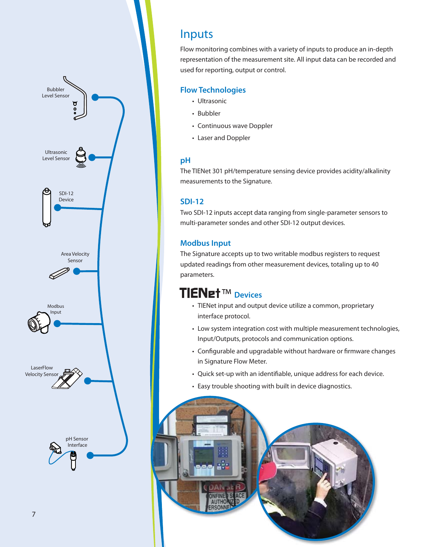

### **Inputs**

Flow monitoring combines with a variety of inputs to produce an in-depth representation of the measurement site. All input data can be recorded and used for reporting, output or control.

### **Flow Technologies**

- · Ultrasonic
- Bubbler
- Continuous wave Doppler
- Laser and Doppler

### pH

The TIENet 301 pH/temperature sensing device provides acidity/alkalinity measurements to the Signature.

### **SDI-12**

Two SDI-12 inputs accept data ranging from single-parameter sensors to multi-parameter sondes and other SDI-12 output devices.

### **Modbus Input**

The Signature accepts up to two writable modbus registers to request updated readings from other measurement devices, totaling up to 40 parameters.

### $TIEN$   $E^{\uparrow}$  Devices

- TIENet input and output device utilize a common, proprietary interface protocol.
- Low system integration cost with multiple measurement technologies, Input/Outputs, protocols and communication options.
- Configurable and upgradable without hardware or firmware changes in Signature Flow Meter.
- Quick set-up with an identifiable, unique address for each device.
- Easy trouble shooting with built in device diagnostics.

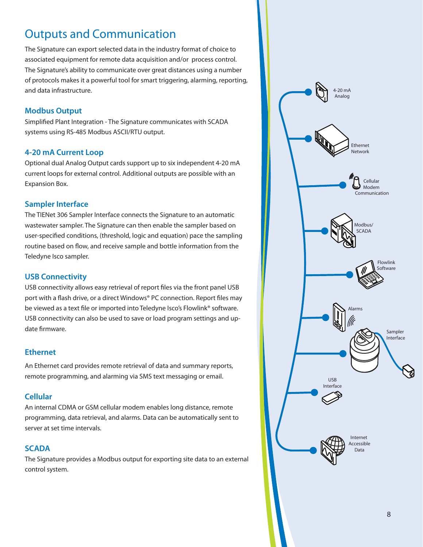### **Outputs and Communication**

The Signature can export selected data in the industry format of choice to associated equipment for remote data acquisition and/or process control. The Signature's ability to communicate over great distances using a number of protocols makes it a powerful tool for smart triggering, alarming, reporting, and data infrastructure.

### **Modbus Output**

Simplified Plant Integration - The Signature communicates with SCADA systems using RS-485 Modbus ASCII/RTU output.

### **4-20 mA Current Loop**

Optional dual Analog Output cards support up to six independent 4-20 mA current loops for external control. Additional outputs are possible with an **Expansion Box.** 

### **Sampler Interface**

The TIENet 306 Sampler Interface connects the Signature to an automatic wastewater sampler. The Signature can then enable the sampler based on user-specified conditions, (threshold, logic and equation) pace the sampling routine based on flow, and receive sample and bottle information from the Teledyne Isco sampler.

### **USB Connectivity**

USB connectivity allows easy retrieval of report files via the front panel USB port with a flash drive, or a direct Windows® PC connection. Report files may be viewed as a text file or imported into Teledyne Isco's Flowlink® software. USB connectivity can also be used to save or load program settings and update firmware

#### **Ethernet**

An Ethernet card provides remote retrieval of data and summary reports, remote programming, and alarming via SMS text messaging or email.

### **Cellular**

An internal CDMA or GSM cellular modem enables long distance, remote programming, data retrieval, and alarms. Data can be automatically sent to server at set time intervals.

### **SCADA**

The Signature provides a Modbus output for exporting site data to an external control system.

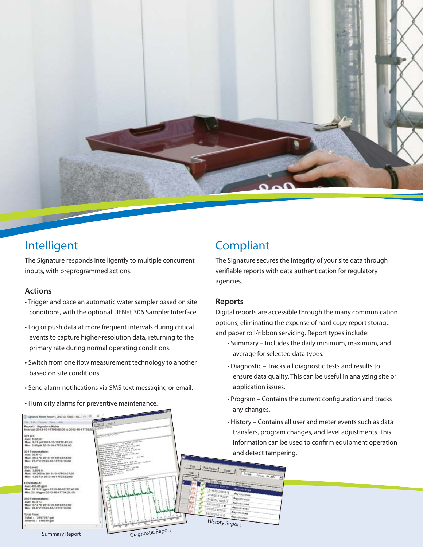

### Intelligent

The Signature responds intelligently to multiple concurrent inputs, with preprogrammed actions.

#### **Actions**

- Trigger and pace an automatic water sampler based on site conditions, with the optional TIENet 306 Sampler Interface.
- . Log or push data at more frequent intervals during critical events to capture higher-resolution data, returning to the primary rate during normal operating conditions.
- Switch from one flow measurement technology to another based on site conditions.
- Send alarm notifications via SMS text messaging or email.

Diagnostic Report

• Humidity alarms for preventive maintenance.

### Compliant

The Signature secures the integrity of your site data through verifiable reports with data authentication for regulatory agencies.

### **Reports**

**History Report** 

Digital reports are accessible through the many communication options, eliminating the expense of hard copy report storage and paper roll/ribbon servicing. Report types include:

- Summary Includes the daily minimum, maximum, and average for selected data types.
- Diagnostic Tracks all diagnostic tests and results to ensure data quality. This can be useful in analyzing site or application issues.
- Program Contains the current configuration and tracks any changes.
- History Contains all user and meter events such as data transfers, program changes, and level adjustments. This information can be used to confirm equipment operation and detect tampering.



-<br>013-10-15120:46:00<br>013-10-17T04:24:15

seture Meter Report 201110170800 - No

мы рт<br>1,19 рм 2013-10-16122:42:45<br>| 50 рм 2013-10-17102:58:00

57.2 °C 2013-10-16723:55:00

2197017 gui

2013-10-10723:54:00

00142013-00-171

iort 1 Signature Meter<br>Hvel: 2013-10-16T0830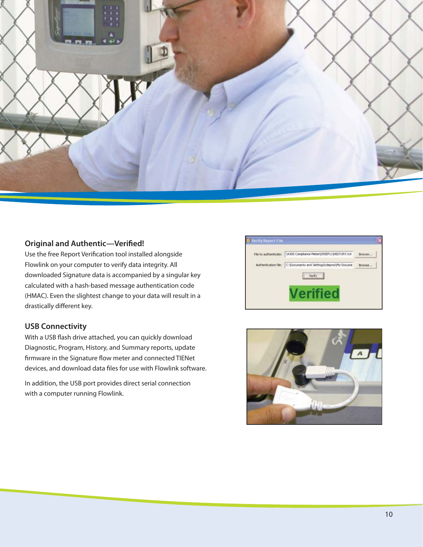

### **Original and Authentic-Verified!**

Use the free Report Verification tool installed alongside Flowlink on your computer to verify data integrity. All downloaded Signature data is accompanied by a singular key calculated with a hash-based message authentication code (HMAC). Even the slightest change to your data will result in a drastically different key.

#### **USB Connectivity**

With a USB flash drive attached, you can quickly download Diagnostic, Program, History, and Summary reports, update firmware in the Signature flow meter and connected TIENet devices, and download data files for use with Flowlink software.

In addition, the USB port provides direct serial connection with a computer running Flowlink.